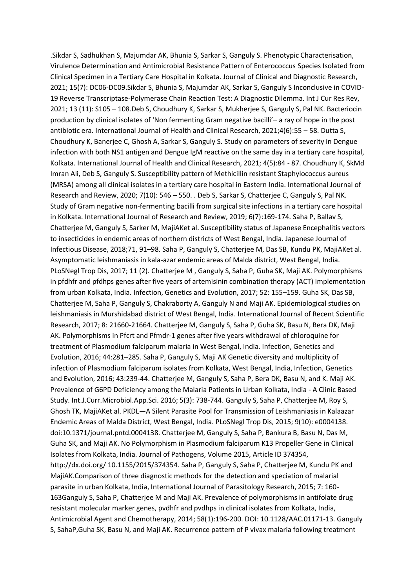.Sikdar S, Sadhukhan S, Majumdar AK, Bhunia S, Sarkar S, Ganguly S. Phenotypic Characterisation, Virulence Determination and Antimicrobial Resistance Pattern of Enterococcus Species Isolated from Clinical Specimen in a Tertiary Care Hospital in Kolkata. Journal of Clinical and Diagnostic Research, 2021; 15(7): DC06-DC09.Sikdar S, Bhunia S, Majumdar AK, Sarkar S, Ganguly S Inconclusive in COVID-19 Reverse Transcriptase-Polymerase Chain Reaction Test: A Diagnostic Dilemma. Int J Cur Res Rev, 2021; 13 (11): S105 – 108.Deb S, Choudhury K, Sarkar S, Mukherjee S, Ganguly S, Pal NK. Bacteriocin production by clinical isolates of 'Non fermenting Gram negative bacilli'– a ray of hope in the post antibiotic era. International Journal of Health and Clinical Research, 2021;4(6):55 – 58. Dutta S, Choudhury K, Banerjee C, Ghosh A, Sarkar S, Ganguly S. Study on parameters of severity in Dengue infection with both NS1 antigen and Dengue IgM reactive on the same day in a tertiary care hospital, Kolkata. International Journal of Health and Clinical Research, 2021; 4(5):84 - 87. Choudhury K, SkMd Imran Ali, Deb S, Ganguly S. Susceptibility pattern of Methicillin resistant Staphylococcus aureus (MRSA) among all clinical isolates in a tertiary care hospital in Eastern India. International Journal of Research and Review, 2020; 7(10): 546 – 550. . Deb S, Sarkar S, Chatterjee C, Ganguly S, Pal NK. Study of Gram negative non-fermenting bacilli from surgical site infections in a tertiary care hospital in Kolkata. International Journal of Research and Review, 2019; 6(7):169-174. Saha P, Ballav S, Chatterjee M, Ganguly S, Sarker M, MajiAKet al. Susceptibility status of Japanese Encephalitis vectors to insecticides in endemic areas of northern districts of West Bengal, India. Japanese Journal of Infectious Disease, 2018;71, 91–98. Saha P, Ganguly S, Chatterjee M, Das SB, Kundu PK, MajiAKet al. Asymptomatic leishmaniasis in kala-azar endemic areas of Malda district, West Bengal, India. PLoSNegl Trop Dis, 2017; 11 (2). Chatterjee M , Ganguly S, Saha P, Guha SK, Maji AK. Polymorphisms in pfdhfr and pfdhps genes after five years of artemisinin combination therapy (ACT) implementation from urban Kolkata, India. Infection, Genetics and Evolution, 2017; 52: 155–159. Guha SK, Das SB, Chatterjee M, Saha P, Ganguly S, Chakraborty A, Ganguly N and Maji AK. Epidemiological studies on leishmaniasis in Murshidabad district of West Bengal, India. International Journal of Recent Scientific Research, 2017; 8: 21660-21664. Chatterjee M, Ganguly S, Saha P, Guha SK, Basu N, Bera DK, Maji AK. Polymorphisms in Pfcrt and Pfmdr-1 genes after five years withdrawal of chloroquine for treatment of Plasmodium falciparum malaria in West Bengal, India. Infection, Genetics and Evolution, 2016; 44:281–285. Saha P, Ganguly S, Maji AK Genetic diversity and multiplicity of infection of Plasmodium falciparum isolates from Kolkata, West Bengal, India, Infection, Genetics and Evolution, 2016; 43:239-44. Chatterjee M, Ganguly S, Saha P, Bera DK, Basu N, and K. Maji AK. Prevalence of G6PD Deficiency among the Malaria Patients in Urban Kolkata, India - A Clinic Based Study. Int.J.Curr.Microbiol.App.Sci. 2016; 5(3): 738-744. Ganguly S, Saha P, Chatterjee M, Roy S, Ghosh TK, MajiAKet al. PKDL—A Silent Parasite Pool for Transmission of Leishmaniasis in Kalaazar Endemic Areas of Malda District, West Bengal, India. PLoSNegl Trop Dis, 2015; 9(10): e0004138. doi:10.1371/journal.pntd.0004138. Chatterjee M, Ganguly S, Saha P, Bankura B, Basu N, Das M, Guha SK, and Maji AK. No Polymorphism in Plasmodium falciparum K13 Propeller Gene in Clinical Isolates from Kolkata, India. Journal of Pathogens, Volume 2015, Article ID 374354, http://dx.doi.org/ 10.1155/2015/374354. Saha P, Ganguly S, Saha P, Chatterjee M, Kundu PK and MajiAK.Comparison of three diagnostic methods for the detection and speciation of malarial parasite in urban Kolkata, India, International Journal of Parasitology Research, 2015; 7: 160- 163Ganguly S, Saha P, Chatterjee M and Maji AK. Prevalence of polymorphisms in antifolate drug resistant molecular marker genes, pvdhfr and pvdhps in clinical isolates from Kolkata, India, Antimicrobial Agent and Chemotherapy, 2014; 58(1):196-200. DOI: 10.1128/AAC.01171-13. Ganguly S, SahaP,Guha SK, Basu N, and Maji AK. Recurrence pattern of P vivax malaria following treatment